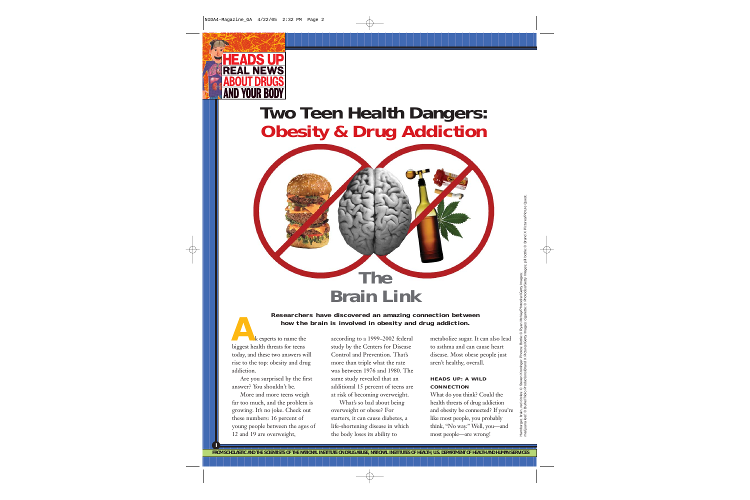

# **Two Teen Health Dangers: Obesity & Drug Addiction**



# **A Researchers have discovered an amazing connection between how the brain is involved in obesity and drug addiction.**

sk experts to name the biggest health threats for teens today, and these two answers will rise to the top: obesity and drug addiction.

Are you surprised by the first answer? You shouldn't be.

More and more teens weigh far too much, and the problem is growing. It's no joke. Check out these numbers: 16 percent of young people between the ages of 12 and 19 are overweight,

**I**

according to a 1999–2002 federal study by the Centers for Disease Control and Prevention. That's more than triple what the rate was between 1976 and 1980. The same study revealed that an additional 15 percent of teens are at risk of becoming overweight.

What's so bad about being overweight or obese? For starters, it can cause diabetes, a life-shortening disease in which the body loses its ability to

metabolize sugar. It can also lead to asthma and can cause heart disease. Most obese people just aren't healthy, overall.

#### **HEADS UP: A WILD CONNECTION**

What do you think? Could the health threats of drug addiction and obesity be connected? If you're like most people, you probably think, "No way." Well, you—and most people—are wrong!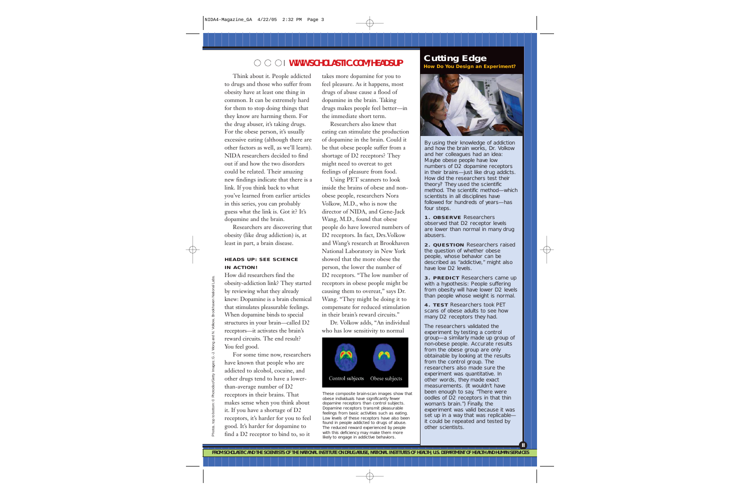## **WWW.SCHOLASTIC.COM/HEADSUP**

Think about it. People addicted to drugs and those who suffer from obesity have at least one thing in common. It can be extremely hard for them to stop doing things that they know are harming them. For the drug abuser, it's taking drugs. For the obese person, it's usually excessive eating (although there are other factors as well, as we'll learn). NIDA researchers decided to find out if and how the two disorders could be related. Their amazing new findings indicate that there is a link. If you think back to what you've learned from earlier articles in this series, you can probably guess what the link is. Got it? It's dopamine and the brain.

Researchers are discovering that obesity (like drug addiction) is, at least in part, a brain disease.

#### **HEADS UP: SEE SCIENCE IN ACTION!**

How did researchers find the obesity-addiction link? They started by reviewing what they already knew: Dopamine is a brain chemical that stimulates pleasurable feelings. When dopamine binds to special structures in your brain—called D2 receptors—it activates the brain's reward circuits. The end result? You feel good.

For some time now, researchers have known that people who are addicted to alcohol, cocaine, and other drugs tend to have a lowerthan-average number of D2 receptors in their brains. That makes sense when you think about it. If you have a shortage of D2 receptors, it's harder for you to feel good. It's harder for dopamine to find a D2 receptor to bind to, so it

takes more dopamine for you to feel pleasure. As it happens, most drugs of abuse cause a flood of dopamine in the brain. Taking drugs makes people feel better—in the immediate short term.

Researchers also knew that eating can stimulate the production of dopamine in the brain. Could it be that obese people suffer from a shortage of D2 receptors? They might need to overeat to get feelings of pleasure from food.

Using PET scanners to look inside the brains of obese and nonobese people, researchers Nora Volkow, M.D., who is now the director of NIDA, and Gene-Jack Wang, M.D., found that obese people do have lowered numbers of D2 receptors. In fact, Drs.Volkow and Wang's research at Brookhaven National Laboratory in New York showed that the more obese the person, the lower the number of D2 receptors. "The low number of receptors in obese people might be causing them to overeat," says Dr. Wang. "They might be doing it to compensate for reduced stimulation in their brain's reward circuits."

Dr. Volkow adds, "An individual who has low sensitivity to normal



These composite brain-scan images show that obese individuals have significantly fewer dopamine receptors than control subjects. Dopamine receptors transmit pleasurable feelings from basic activities such as eating. Low levels of these receptors have also been found in people addicted to drugs of abuse. The reduced reward experienced by people with this deficiency may make them more likely to engage in addictive behaviors.

# **Cutting Edge**

**How Do You Design an Experiment?**



By using their knowledge of addiction and how the brain works, Dr. Volkow and her colleagues had an idea: Maybe obese people have low numbers of D2 dopamine receptors in their brains—just like drug addicts. How did the researchers test their theory? They used the scientific method. The scientific method—which scientists in all disciplines have followed for hundreds of years—has four steps.

**1. OBSERVE** Researchers observed that D2 receptor levels are lower than normal in many drug abusers.

**2. QUESTION** Researchers raised the question of whether obese people, whose behavior can be described as "addictive," might also have low D2 levels.

**3. PREDICT** Researchers came up with a hypothesis: People suffering from obesity will have lower D2 levels than people whose weight is normal.

**4. TEST** Researchers took PET scans of obese adults to see how many D2 receptors they had.

The researchers validated the experiment by testing a control group—a similarly made up group of non-obese people. Accurate results from the obese group are only obtainable by looking at the results from the control group. The researchers also made sure the experiment was quantitative. In other words, they made exact measurements. (It wouldn't have been enough to say, "There were oodles of D2 receptors in that thin woman's brain.") Finally, the experiment was valid because it was set up in a way that was replicable it could be repeated and tested by other scientists.

**II**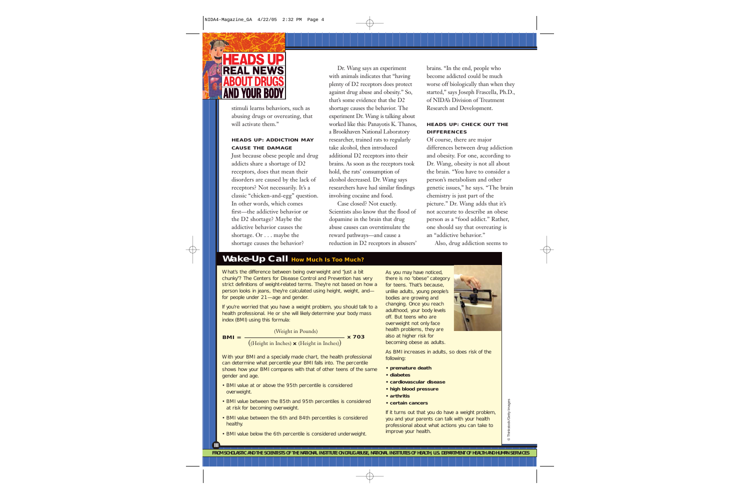

stimuli learns behaviors, such as abusing drugs or overeating, that will activate them."

#### **HEADS UP: ADDICTION MAY CAUSE THE DAMAGE**

Just because obese people and drug addicts share a shortage of D2 receptors, does that mean their disorders are caused by the lack of receptors? Not necessarily. It's a classic "chicken-and-egg" question. In other words, which comes first—the addictive behavior or the D2 shortage? Maybe the addictive behavior causes the shortage. Or . . . maybe the shortage causes the behavior?

Dr. Wang says an experiment with animals indicates that "having plenty of D2 receptors does protect against drug abuse and obesity." So, that's some evidence that the D2 shortage causes the behavior. The experiment Dr. Wang is talking about worked like this: Panayotis K. Thanos, a Brookhaven National Laboratory researcher, trained rats to regularly take alcohol, then introduced additional D2 receptors into their brains. As soon as the receptors took hold, the rats' consumption of alcohol decreased. Dr. Wang says researchers have had similar findings involving cocaine and food.

Case closed? Not exactly. Scientists also know that the flood of dopamine in the brain that drug abuse causes can overstimulate the reward pathways—and cause a reduction in D2 receptors in abusers'

brains. "In the end, people who become addicted could be much worse off biologically than when they started," says Joseph Frascella, Ph.D., of NIDA's Division of Treatment Research and Development.

#### **HEADS UP: CHECK OUT THE DIFFERENCES**

Of course, there are major differences between drug addiction and obesity. For one, according to Dr. Wang, obesity is not all about the brain. "You have to consider a person's metabolism and other genetic issues," he says. "The brain chemistry is just part of the picture." Dr. Wang adds that it's not accurate to describe an obese person as a "food addict." Rather, one should say that overeating is an "addictive behavior."

Also, drug addiction seems to

### **Wake-Up Call How Much Is Too Much?**

What's the difference between being overweight and "just a bit chunky"? The Centers for Disease Control and Prevention has very strict definitions of weight-related terms. They're not based on how a person looks in jeans, they're calculated using height, weight, and for people under 21—age and gender.

If you're worried that you have a weight problem, you should talk to a health professional. He or she will likely determine your body mass index (BMI) using this formula:

 $BMI =$   $\frac{1}{2}$   $\times$  703 (Weight in Pounds) ((Height in Inches) **x** (Height in Inches))

With your BMI and a specially made chart, the health professional can determine what percentile your BMI falls into. The percentile shows how your BMI compares with that of other teens of the same gender and age.

- BMI value at or above the 95th percentile is considered overweight.
- BMI value between the 85th and 95th percentiles is considered at risk for becoming overweight.
- BMI value between the 6th and 84th percentiles is considered healthy.
- BMI value below the 6th percentile is considered underweight.

**III**

As you may have noticed, there is no "obese" category for teens. That's because, unlike adults, young people's bodies are growing and changing. Once you reach adulthood, your body levels off. But teens who are overweight not only face health problems, they are also at higher risk for becoming obese as adults.



As BMI increases in adults, so does risk of the following:

- **premature death**
- **diabetes**
- **cardiovascular disease**
- **high blood pressure**
- **arthritis**
- **certain cancers**

If it turns out that you do have a weight problem, you and your parents can talk with your health professional about what actions you can take to improve your health.

@ Thinkstock/Getty Images © Thinkstock/Getty Images